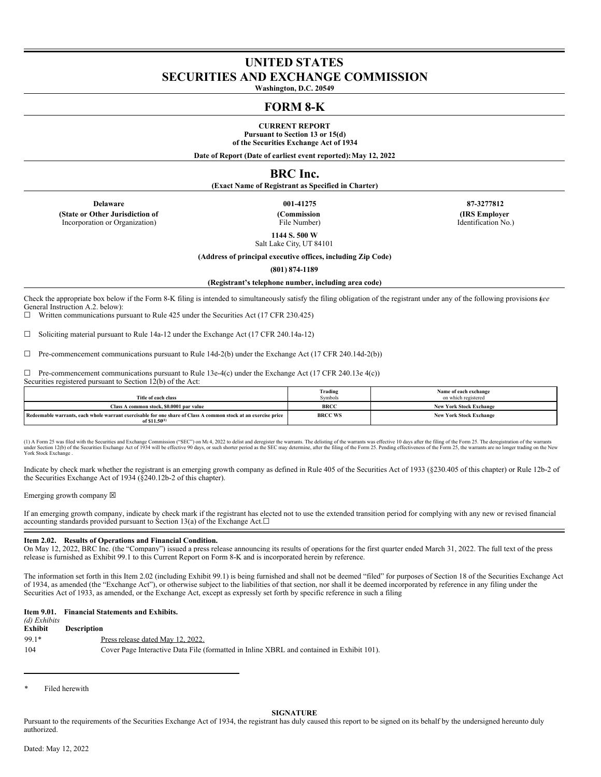# **UNITED STATES SECURITIES AND EXCHANGE COMMISSION**

**Washington, D.C. 20549**

# **FORM 8-K**

**CURRENT REPORT Pursuant to Section 13 or 15(d) of the Securities Exchange Act of 1934**

**Date of Report (Date of earliest event reported):May 12, 2022**

## **BRC Inc.**

**(Exact Name of Registrant as Specified in Charter)**

**(State or Other Jurisdiction of** Incorporation or Organization)

**(Commission** File Number)

**Delaware 001-41275 87-3277812 (IRS Employer** Identification No.)

> **1144 S. 500 W** Salt Lake City, UT 84101

**(Address of principal executive offices, including Zip Code)**

**(801) 874-1189**

**(Registrant's telephone number, including area code)**

Check the appropriate box below if the Form 8-K filing is intended to simultaneously satisfy the filing obligation of the registrant under any of the following provisions (*see* General Instruction A.2. below):

 $\Box$  Written communications pursuant to Rule 425 under the Securities Act (17 CFR 230.425)

☐ Soliciting material pursuant to Rule 14a-12 under the Exchange Act (17 CFR 240.14a-12)

☐ Pre-commencement communications pursuant to Rule 14d-2(b) under the Exchange Act (17 CFR 240.14d-2(b))

 $\Box$  Pre-commencement communications pursuant to Rule 13e-4(c) under the Exchange Act (17 CFR 240.13e 4(c))

Securities registered pursuant to Section 12(b) of the Act:

| Title of each class                                                                                                                         | Trading<br>Symbols | Name of each exchange<br>on which registered |
|---------------------------------------------------------------------------------------------------------------------------------------------|--------------------|----------------------------------------------|
| Class A common stock, \$0,0001 par value                                                                                                    | <b>BRCC</b>        | <b>New York Stock Exchange</b>               |
| Redeemable warrants, each whole warrant exercisable for one share of Class A common stock at an exercise price<br>of \$11.50 <sup>(1)</sup> | <b>BRCC WS</b>     | <b>New York Stock Exchange</b>               |

(1) A Form 25 was filed with the Securities and Exchange Commission ("SEC") on Mt 4, 2022 to delist and deregister the warrants. The delisting of the warrants was effective 10 days after the filing of the Form 25. The dere York Stock Exchange .

Indicate by check mark whether the registrant is an emerging growth company as defined in Rule 405 of the Securities Act of 1933 (§230.405 of this chapter) or Rule 12b-2 of the Securities Exchange Act of 1934 (§240.12b-2 of this chapter).

Emerging growth company  $\boxtimes$ 

If an emerging growth company, indicate by check mark if the registrant has elected not to use the extended transition period for complying with any new or revised financial accounting standards provided pursuant to Section 13(a) of the Exchange Act. $□$ 

#### **Item 2.02. Results of Operations and Financial Condition.**

On May 12, 2022, BRC Inc. (the "Company") issued a press release announcing its results of operations for the first quarter ended March 31, 2022. The full text of the press release is furnished as Exhibit 99.1 to this Current Report on Form 8-K and is incorporated herein by reference.

The information set forth in this Item 2.02 (including Exhibit 99.1) is being furnished and shall not be deemed "filed" for purposes of Section 18 of the Securities Exchange Act of 1934, as amended (the "Exchange Act"), or otherwise subject to the liabilities of that section, nor shall it be deemed incorporated by reference in any filing under the Securities Act of 1933, as amended, or the Exchange Act, except as expressly set forth by specific reference in such a filing

|                          | Item 9.01. Financial Statements and Exhibits. |
|--------------------------|-----------------------------------------------|
| $(A)$ $E2$ <i>kikita</i> |                                               |

| <i>(a) Exhibits</i><br>Exhibit | <b>Description</b>                                                                        |
|--------------------------------|-------------------------------------------------------------------------------------------|
| $99.1*$                        | Press release dated May 12, 2022.                                                         |
| 104                            | Cover Page Interactive Data File (formatted in Inline XBRL and contained in Exhibit 101). |

Filed herewith

#### **SIGNATURE**

Pursuant to the requirements of the Securities Exchange Act of 1934, the registrant has duly caused this report to be signed on its behalf by the undersigned hereunto duly authorized.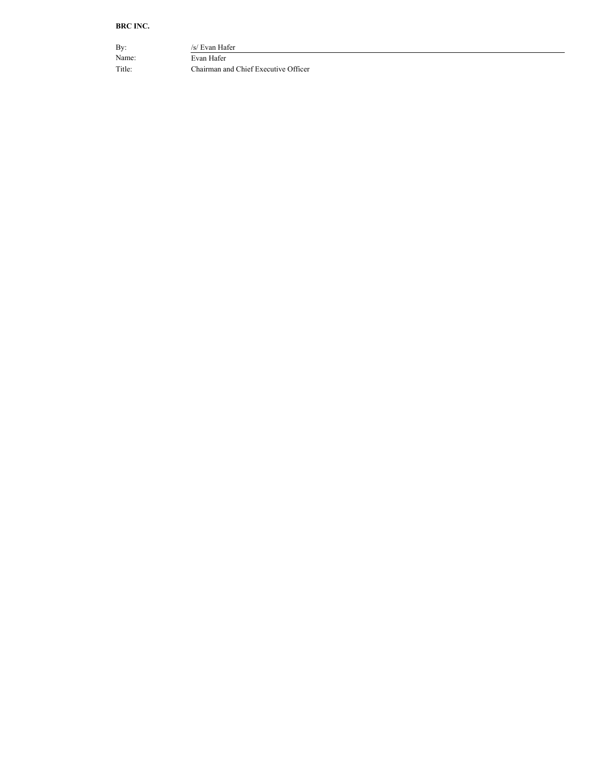### **BRC INC.**

By:  $/s/$  Evan Hafer Name: Evan Hafer Title: Chairman and Chief Executive Officer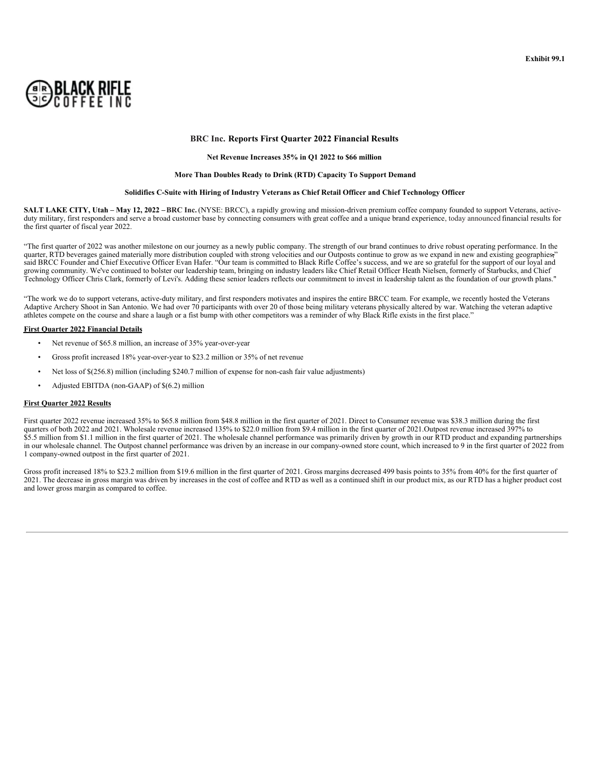

#### **BRC Inc. Reports First Quarter 2022 Financial Results**

#### **Net Revenue Increases 35% in Q1 2022 to \$66 million**

#### **More Than Doubles Ready to Drink (RTD) Capacity To Support Demand**

#### **Solidifies C-Suite with Hiring of Industry Veterans as Chief Retail Officer and Chief Technology Officer**

SALT LAKE CITY, Utah - May 12, 2022 - BRC Inc. (NYSE: BRCC), a rapidly growing and mission-driven premium coffee company founded to support Veterans, activeduty military, first responders and serve a broad customer base by connecting consumers with great coffee and a unique brand experience, today announced financial results for the first quarter of fiscal year 2022.

"The first quarter of 2022 was another milestone on our journey as a newly public company. The strength of our brand continues to drive robust operating performance. In the quarter, RTD beverages gained materially more distribution coupled with strong velocities and our Outposts continue to grow as we expand in new and existing geographies. said BRCC Founder and Chief Executive Officer Evan Hafer. "Our team is committed to Black Rifle Coffee's success, and we are so grateful for the support of our loyal and growing community. We've continued to bolster our leadership team, bringing on industry leaders like Chief Retail Officer Heath Nielsen, formerly of Starbucks, and Chief Technology Officer Chris Clark, formerly of Levi's. Adding these senior leaders reflects our commitment to invest in leadership talent as the foundation of our growth plans."

"The work we do to support veterans, active-duty military, and first responders motivates and inspires the entire BRCC team. For example, we recently hosted the Veterans Adaptive Archery Shoot in San Antonio. We had over 70 participants with over 20 of those being military veterans physically altered by war. Watching the veteran adaptive Archery Shoot in San Antonio. We had over 70 partici athletes compete on the course and share a laugh or a fist bump with other competitors was a reminder of why Black Rifle exists in the first place."

#### **First Quarter 2022 Financial Details**

- Net revenue of \$65.8 million, an increase of 35% year-over-year
- Gross profit increased 18% year-over-year to \$23.2 million or 35% of net revenue
- Net loss of \$(256.8) million (including \$240.7 million of expense for non-cash fair value adjustments)
- Adjusted EBITDA (non-GAAP) of \$(6.2) million

#### **First Quarter 2022 Results**

First quarter 2022 revenue increased 35% to \$65.8 million from \$48.8 million in the first quarter of 2021. Direct to Consumer revenue was \$38.3 million during the first quarters of both 2022 and 2021. Wholesale revenue increased 135% to \$22.0 million from \$9.4 million in the first quarter of 2021.Outpost revenue increased 397% to \$5.5 million from \$1.1 million in the first quarter of 2021. The wholesale channel performance was primarily driven by growth in our RTD product and expanding partnerships in our wholesale channel. The Outpost channel performance was driven by an increase in our company-owned store count, which increased to 9 in the first quarter of 2022 from 1 company-owned outpost in the first quarter of 2021.

Gross profit increased 18% to \$23.2 million from \$19.6 million in the first quarter of 2021. Gross margins decreased 499 basis points to 35% from 40% for the first quarter of 2021. The decrease in gross margin was driven by increases in the cost of coffee and RTD as well as a continued shift in our product mix, as our RTD has a higher product cost and lower gross margin as compared to coffee.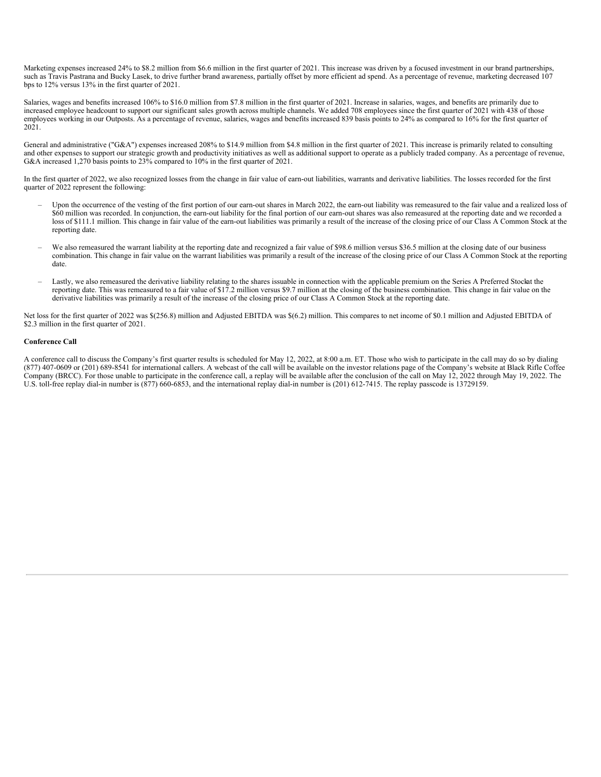Marketing expenses increased 24% to \$8.2 million from \$6.6 million in the first quarter of 2021. This increase was driven by a focused investment in our brand partnerships, such as Travis Pastrana and Bucky Lasek, to drive further brand awareness, partially offset by more efficient ad spend. As a percentage of revenue, marketing decreased 107 bps to 12% versus 13% in the first quarter of 2021.

Salaries, wages and benefits increased 106% to \$16.0 million from \$7.8 million in the first quarter of 2021. Increase in salaries, wages, and benefits are primarily due to increased employee headcount to support our significant sales growth across multiple channels. We added 708 employees since the first quarter of 2021 with 438 of those employees working in our Outposts. As a percentage of revenue, salaries, wages and benefits increased 839 basis points to 24% as compared to 16% for the first quarter of 2021.

General and administrative ("G&A") expenses increased 208% to \$14.9 million from \$4.8 million in the first quarter of 2021. This increase is primarily related to consulting and other expenses to support our strategic growth and productivity initiatives as well as additional support to operate as a publicly traded company. As a percentage of revenue, G&A increased 1,270 basis points to 23% compared to 10% in the first quarter of 2021.

In the first quarter of 2022, we also recognized losses from the change in fair value of earn-out liabilities, warrants and derivative liabilities. The losses recorded for the first quarter of 2022 represent the following:

- Upon the occurrence of the vesting of the first portion of our earn-out shares in March 2022, the earn-out liability was remeasured to the fair value and a realized loss of \$60 million was recorded. In conjunction, the earn-out liability for the final portion of our earn-out shares was also remeasured at the reporting date and we recorded a loss of \$111.1 million. This change in fair value of the earn-out liabilities was primarily a result of the increase of the closing price of our Class A Common Stock at the reporting date.
- We also remeasured the warrant liability at the reporting date and recognized a fair value of \$98.6 million versus \$36.5 million at the closing date of our business combination. This change in fair value on the warrant liabilities was primarily a result of the increase of the closing price of our Class A Common Stock at the reporting date.
- Lastly, we also remeasured the derivative liability relating to the shares issuable in connection with the applicable premium on the Series A Preferred Stockat the reporting date. This was remeasured to a fair value of \$17.2 million versus \$9.7 million at the closing of the business combination. This change in fair value on the derivative liabilities was primarily a result of the increase of the closing price of our Class A Common Stock at the reporting date.

Net loss for the first quarter of 2022 was \$(256.8) million and Adjusted EBITDA was \$(6.2) million. This compares to net income of \$0.1 million and Adjusted EBITDA of \$2.3 million in the first quarter of 2021.

#### **Conference Call**

A conference call to discuss the Company's first quarter results is scheduled for May 12, 2022, at 8:00 a.m. ET. Those who wish to participate in the call may do so by dialing (877) 407-0609 or (201) 689-8541 for international callers. A webcast of the call will be available on the investor relations page of the Company's website at Black Rifle Coffee Company (BRCC). For those unable to participate in the conference call, a replay will be available after the conclusion of the call on May 12, 2022 through May 19, 2022. The U.S. toll-free replay dial-in number is (877) 660-6853, and the international replay dial-in number is (201) 612-7415. The replay passcode is 13729159.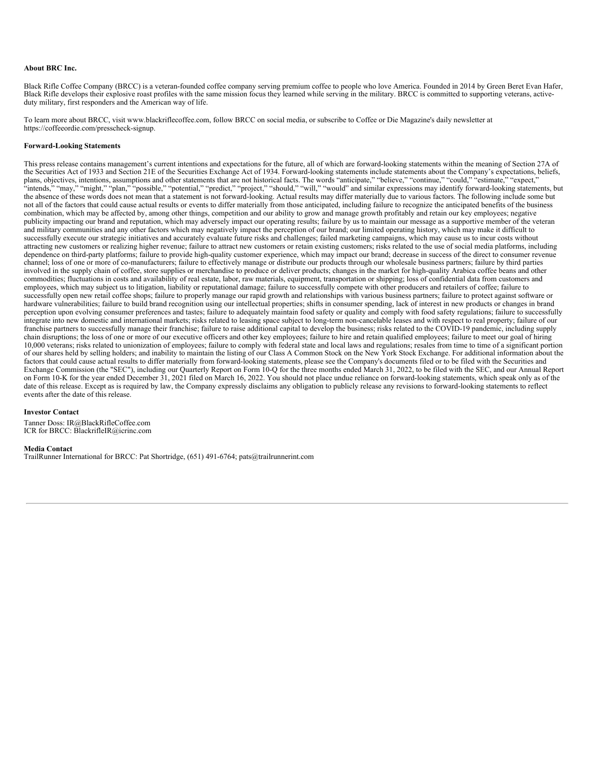#### **About BRC Inc.**

Black Rifle Coffee Company (BRCC) is a veteran-founded coffee company serving premium coffee to people who love America. Founded in 2014 by Green Beret Evan Hafer, Black Rifle develops their explosive roast profiles with the same mission focus they learned while serving in the military. BRCC is committed to supporting veterans, activeduty military, first responders and the American way of life.

To learn more about BRCC, visit www.blackriflecoffee.com, follow BRCC on social media, or subscribe to Coffee or Die Magazine's daily newsletter at https://coffeeordie.com/presscheck-signup.

#### **Forward-Looking Statements**

This press release contains management's current intentions and expectations for the future, all of which are forward-looking statements within the meaning of Section 27A of the Securities Act of 1933 and Section 21E of the Securities Exchange Act of 1934. Forward-looking statements include statements about the Company's expectations, beliefs, plans, objectives, intentions, assumptions and other statements that are not historical facts. The words "anticipate," "believe," "continue," "could," "estimate," "expect, "intends," "may," "might," "plan," "possible," "potential," "predict," "project," "should," "will," "would" and similar expressions may identify forward-looking statements, but the absence of these words does not mean that a statement is not forward-looking. Actual results may differ materially due to various factors. The following include some but not all of the factors that could cause actual results or events to differ materially from those anticipated, including failure to recognize the anticipated benefits of the business combination, which may be affected by, among other things, competition and our ability to grow and manage growth profitably and retain our key employees; negative publicity impacting our brand and reputation, which may adversely impact our operating results; failure by us to maintain our message as a supportive member of the veteran and military communities and any other factors which may negatively impact the perception of our brand; our limited operating history, which may make it difficult to successfully execute our strategic initiatives and accurately evaluate future risks and challenges; failed marketing campaigns, which may cause us to incur costs without attracting new customers or realizing higher revenue; failure to attract new customers or retain existing customers; risks related to the use of social media platforms, including dependence on third-party platforms; failure to provide high-quality customer experience, which may impact our brand; decrease in success of the direct to consumer revenue channel; loss of one or more of co-manufacturers; failure to effectively manage or distribute our products through our wholesale business partners; failure by third parties involved in the supply chain of coffee, store supplies or merchandise to produce or deliver products; changes in the market for high-quality Arabica coffee beans and other commodities; fluctuations in costs and availability of real estate, labor, raw materials, equipment, transportation or shipping; loss of confidential data from customers and employees, which may subject us to litigation, liability or reputational damage; failure to successfully compete with other producers and retailers of coffee; failure to successfully open new retail coffee shops; failure to properly manage our rapid growth and relationships with various business partners; failure to protect against software or hardware vulnerabilities; failure to build brand recognition using our intellectual properties; shifts in consumer spending, lack of interest in new products or changes in brand perception upon evolving consumer preferences and tastes; failure to adequately maintain food safety or quality and comply with food safety regulations; failure to successfully integrate into new domestic and international markets; risks related to leasing space subject to long-term non-cancelable leases and with respect to real property; failure of our franchise partners to successfully manage their franchise; failure to raise additional capital to develop the business; risks related to the COVID-19 pandemic, including supply chain disruptions; the loss of one or more of our executive officers and other key employees; failure to hire and retain qualified employees; failure to meet our goal of hiring 10,000 veterans; risks related to unionization of employees; failure to comply with federal state and local laws and regulations; resales from time to time of a significant portion of our shares held by selling holders; and inability to maintain the listing of our Class A Common Stock on the New York Stock Exchange. For additional information about the factors that could cause actual results to differ materially from forward-looking statements, please see the Company's documents filed or to be filed with the Securities and Exchange Commission (the "SEC"), including our Quarterly Report on Form 10-Q for the three months ended March 31, 2022, to be filed with the SEC, and our Annual Report on Form 10-K for the year ended December 31, 2021 filed on March 16, 2022. You should not place undue reliance on forward-looking statements, which speak only as of the date of this release. Except as is required by law, the Company expressly disclaims any obligation to publicly release any revisions to forward-looking statements to reflect events after the date of this release.

#### **Investor Contact**

Tanner Doss: IR@BlackRifleCoffee.com ICR for BRCC: BlackrifleIR@icrinc.com

### **Media Contact**

TrailRunner International for BRCC: Pat Shortridge, (651) 491-6764; pats@trailrunnerint.com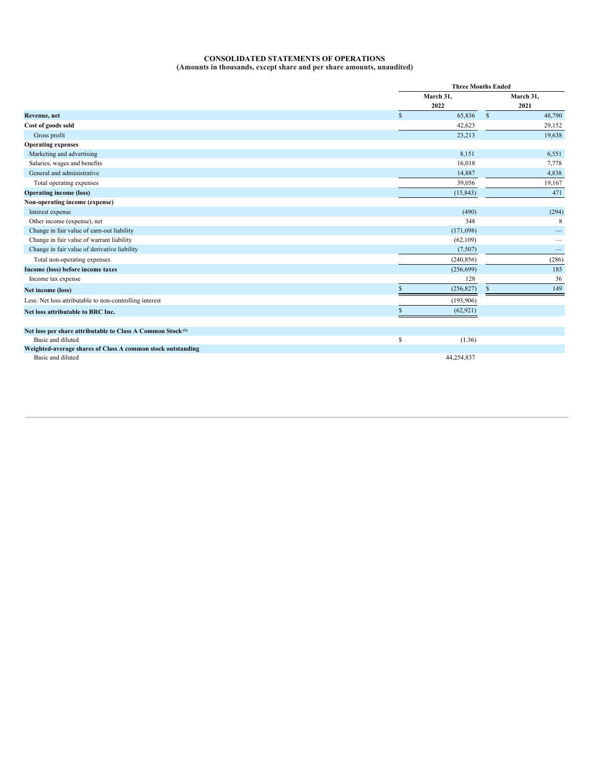#### **CONSOLIDATED STATEMENTS OF OPERATIONS (Amounts in thousands, except share and per share amounts, unaudited)**

|                                                                        |                        | <b>Three Months Ended</b> |  |  |
|------------------------------------------------------------------------|------------------------|---------------------------|--|--|
|                                                                        | March 31,              | March 31,                 |  |  |
|                                                                        | 2022                   | 2021                      |  |  |
| Revenue, net                                                           | 65,836<br>$\mathbb{S}$ | $\mathbb{S}$<br>48,790    |  |  |
| Cost of goods sold                                                     | 42,623                 | 29,152                    |  |  |
| Gross profit                                                           | 23,213                 | 19,638                    |  |  |
| <b>Operating expenses</b>                                              |                        |                           |  |  |
| Marketing and advertising                                              | 8,151                  | 6,551                     |  |  |
| Salaries, wages and benefits                                           | 16,018                 | 7,778                     |  |  |
| General and administrative                                             | 14,887                 | 4,838                     |  |  |
| Total operating expenses                                               | 39,056                 | 19,167                    |  |  |
| <b>Operating income (loss)</b>                                         | (15, 843)              | 471                       |  |  |
| Non-operating income (expense)                                         |                        |                           |  |  |
| Interest expense                                                       | (490)                  | (294)                     |  |  |
| Other income (expense), net                                            | 348                    | 8                         |  |  |
| Change in fair value of earn-out liability                             | (171,098)              |                           |  |  |
| Change in fair value of warrant liability                              | (62, 109)              |                           |  |  |
| Change in fair value of derivative liability                           | (7,507)                |                           |  |  |
| Total non-operating expenses                                           | (240, 856)             | (286)                     |  |  |
| Income (loss) before income taxes                                      | (256, 699)             | 185                       |  |  |
| Income tax expense                                                     | 128                    | 36                        |  |  |
| Net income (loss)                                                      | (256, 827)<br>S.       | 149<br>S.                 |  |  |
| Less: Net loss attributable to non-controlling interest                | (193,906)              |                           |  |  |
| Net loss attributable to BRC Inc.                                      | (62, 921)<br>S.        |                           |  |  |
|                                                                        |                        |                           |  |  |
| Net loss per share attributable to Class A Common Stock <sup>(1)</sup> |                        |                           |  |  |
| Basic and diluted                                                      | \$<br>(1.36)           |                           |  |  |
| Weighted-average shares of Class A common stock outstanding            |                        |                           |  |  |
| Basic and diluted                                                      | 44.254.837             |                           |  |  |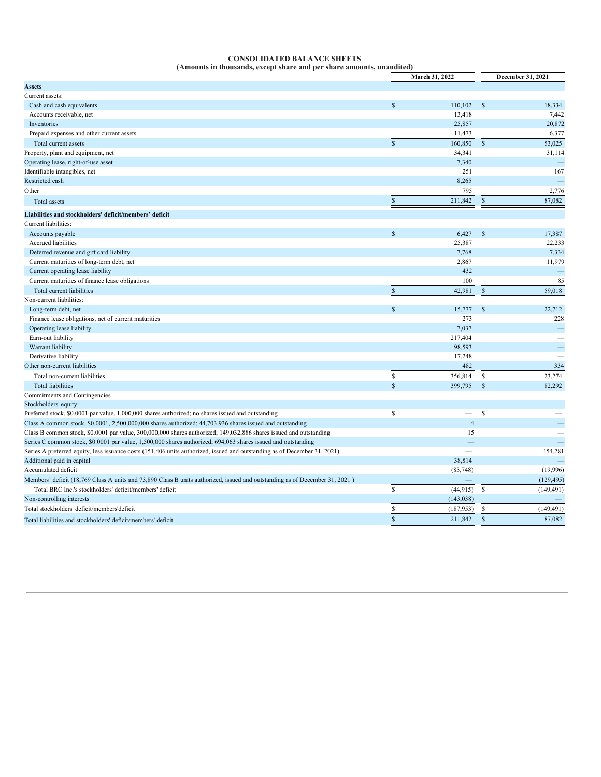## <span id="page-6-0"></span>**CONSOLIDATED BALANCE SHEETS**

|                                                                                                                             |                    | March 31, 2022           |               | December 31, 2021 |  |
|-----------------------------------------------------------------------------------------------------------------------------|--------------------|--------------------------|---------------|-------------------|--|
| <b>Assets</b>                                                                                                               |                    |                          |               |                   |  |
| Current assets:                                                                                                             |                    |                          |               |                   |  |
| Cash and cash equivalents                                                                                                   | $\mathbf{\hat{s}}$ | 110.102                  | $\mathbb{S}$  | 18,334            |  |
| Accounts receivable, net                                                                                                    |                    | 13,418                   |               | 7,442             |  |
| Inventories                                                                                                                 |                    | 25,857                   |               | 20,872            |  |
| Prepaid expenses and other current assets                                                                                   |                    | 11,473                   |               | 6,377             |  |
| Total current assets                                                                                                        | $\mathbf S$        | 160,850                  | $\mathbb{S}$  | 53,025            |  |
| Property, plant and equipment, net                                                                                          |                    | 34,341                   |               | 31,114            |  |
| Operating lease, right-of-use asset                                                                                         |                    | 7,340                    |               | $\equiv$          |  |
| Identifiable intangibles, net                                                                                               |                    | 251                      |               | 167               |  |
| Restricted cash                                                                                                             |                    | 8,265                    |               |                   |  |
| Other                                                                                                                       |                    | 795                      |               | 2,776             |  |
| <b>Total</b> assets                                                                                                         | $\mathbb{S}$       | 211,842                  | $\mathcal{S}$ | 87,082            |  |
| Liabilities and stockholders' deficit/members' deficit                                                                      |                    |                          |               |                   |  |
| Current liabilities:                                                                                                        |                    |                          |               |                   |  |
| Accounts payable                                                                                                            | <b>S</b>           | 6,427                    | $\mathbb{S}$  | 17,387            |  |
| Accrued liabilities                                                                                                         |                    | 25,387                   |               | 22,233            |  |
| Deferred revenue and gift card liability                                                                                    |                    | 7,768                    |               | 7,334             |  |
| Current maturities of long-term debt, net                                                                                   |                    | 2,867                    |               | 11,979            |  |
| Current operating lease liability                                                                                           |                    | 432                      |               |                   |  |
| Current maturities of finance lease obligations                                                                             |                    | 100                      |               | 85                |  |
| Total current liabilities                                                                                                   | $\mathbb{S}$       | 42,981                   | $\mathcal{S}$ | 59,018            |  |
| Non-current liabilities:                                                                                                    |                    |                          |               |                   |  |
| Long-term debt, net                                                                                                         | $\hat{\mathbf{S}}$ | 15,777                   | $\mathcal{S}$ | 22,712            |  |
| Finance lease obligations, net of current maturities                                                                        |                    | 273                      |               | 228               |  |
| Operating lease liability                                                                                                   |                    | 7,037                    |               |                   |  |
| Earn-out liability                                                                                                          |                    | 217,404                  |               |                   |  |
| Warrant liability                                                                                                           |                    | 98,593                   |               |                   |  |
| Derivative liability                                                                                                        |                    | 17,248                   |               |                   |  |
| Other non-current liabilities                                                                                               |                    | 482                      |               | 334               |  |
| Total non-current liabilities                                                                                               | S                  | 356,814                  | \$            | 23,274            |  |
| <b>Total liabilities</b>                                                                                                    | $\mathbf{s}$       | 399,795                  | $\mathbf S$   | 82.292            |  |
| Commitments and Contingencies                                                                                               |                    |                          |               |                   |  |
| Stockholders' equity:<br>Preferred stock, \$0.0001 par value, 1,000,000 shares authorized; no shares issued and outstanding | $\mathbb S$        | $\overline{\phantom{0}}$ | $\mathcal{S}$ |                   |  |
| Class A common stock, \$0.0001, 2,500,000,000 shares authorized; 44,703,936 shares issued and outstanding                   |                    | $\overline{4}$           |               |                   |  |
| Class B common stock, \$0.0001 par value, 300,000,000 shares authorized; 149,032,886 shares issued and outstanding          |                    | 15                       |               |                   |  |
| Series C common stock, \$0.0001 par value, 1,500,000 shares authorized; 694,063 shares issued and outstanding               |                    |                          |               |                   |  |
| Series A preferred equity, less issuance costs (151,406 units authorized, issued and outstanding as of December 31, 2021)   |                    |                          |               | 154,281           |  |
| Additional paid in capital                                                                                                  |                    | 38,814                   |               |                   |  |
| Accumulated deficit                                                                                                         |                    | (83, 748)                |               | (19,996)          |  |
| Members' deficit (18,769 Class A units and 73,890 Class B units authorized, issued and outstanding as of December 31, 2021) |                    |                          |               | (129, 495)        |  |
| Total BRC Inc.'s stockholders' deficit/members' deficit                                                                     | $\mathbb S$        | (44, 915)                | $\mathbb{S}$  | (149, 491)        |  |
| Non-controlling interests                                                                                                   |                    | (143, 038)               |               |                   |  |
| Total stockholders' deficit/members'deficit                                                                                 | S                  | (187, 953)               | $\mathbb{S}$  | (149, 491)        |  |
| Total liabilities and stockholders' deficit/members' deficit                                                                | $\mathbf S$        | 211,842                  | $\mathbb{S}$  | 87,082            |  |
|                                                                                                                             |                    |                          |               |                   |  |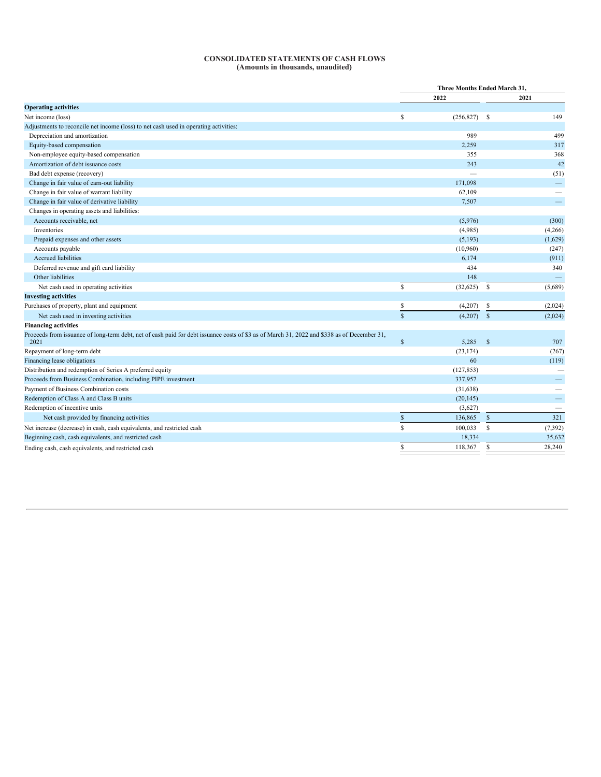#### **CONSOLIDATED STATEMENTS OF CASH FLOWS (Amounts in thousands, unaudited)**

| 2022<br>2021<br>S<br>149<br>$(256,827)$ \$<br>499<br>Depreciation and amortization<br>989<br>2,259<br>317<br>Equity-based compensation<br>Non-employee equity-based compensation<br>368<br>355<br>42<br>Amortization of debt issuance costs<br>243<br>Bad debt expense (recovery)<br>(51)<br>Change in fair value of earn-out liability<br>171,098<br>$\overline{\phantom{m}}$<br>Change in fair value of warrant liability<br>62,109<br>Change in fair value of derivative liability<br>7,507<br>Changes in operating assets and liabilities:<br>Accounts receivable, net<br>(5,976)<br>(300)<br>Inventories<br>(4,985)<br>(4,266)<br>Prepaid expenses and other assets<br>(5, 193)<br>(1,629)<br>Accounts payable<br>(10,960)<br>(247)<br>Accrued liabilities<br>6,174<br>(911)<br>434<br>Deferred revenue and gift card liability<br>340<br>Other liabilities<br>148<br>$\mathsf{s}$<br>(32, 625)<br>-S<br>Net cash used in operating activities<br>(5,689)<br>\$<br>(4,207)<br>-S<br>(2,024)<br>$\mathbf S$<br>$(4,207)$ \$<br>Net cash used in investing activities<br>(2,024)<br>$\mathbb{S}$<br>5,285<br>- \$<br>707<br>2021<br>Repayment of long-term debt<br>(23, 174)<br>(267)<br>60<br>(119)<br>Financing lease obligations<br>(127, 853)<br>Proceeds from Business Combination, including PIPE investment<br>337,957<br>$\overline{\phantom{0}}$<br>(31, 638)<br>$\overline{\phantom{0}}$<br>(20, 145)<br>(3,627)<br>$\mathbb S$<br>321<br>136,865<br>$\mathbf S$<br>Net cash provided by financing activities<br>S<br>$\mathbb{S}$<br>Net increase (decrease) in cash, cash equivalents, and restricted cash<br>100,033<br>(7, 392)<br>18,334<br>35,632<br>\$<br>118,367<br>\$<br>28,240<br>Ending cash, cash equivalents, and restricted cash |                                                                                                                                             | Three Months Ended March 31, |  |  |  |
|-------------------------------------------------------------------------------------------------------------------------------------------------------------------------------------------------------------------------------------------------------------------------------------------------------------------------------------------------------------------------------------------------------------------------------------------------------------------------------------------------------------------------------------------------------------------------------------------------------------------------------------------------------------------------------------------------------------------------------------------------------------------------------------------------------------------------------------------------------------------------------------------------------------------------------------------------------------------------------------------------------------------------------------------------------------------------------------------------------------------------------------------------------------------------------------------------------------------------------------------------------------------------------------------------------------------------------------------------------------------------------------------------------------------------------------------------------------------------------------------------------------------------------------------------------------------------------------------------------------------------------------------------------------------------------------------------------------------------------------------------------------|---------------------------------------------------------------------------------------------------------------------------------------------|------------------------------|--|--|--|
|                                                                                                                                                                                                                                                                                                                                                                                                                                                                                                                                                                                                                                                                                                                                                                                                                                                                                                                                                                                                                                                                                                                                                                                                                                                                                                                                                                                                                                                                                                                                                                                                                                                                                                                                                             |                                                                                                                                             |                              |  |  |  |
|                                                                                                                                                                                                                                                                                                                                                                                                                                                                                                                                                                                                                                                                                                                                                                                                                                                                                                                                                                                                                                                                                                                                                                                                                                                                                                                                                                                                                                                                                                                                                                                                                                                                                                                                                             | <b>Operating activities</b>                                                                                                                 |                              |  |  |  |
|                                                                                                                                                                                                                                                                                                                                                                                                                                                                                                                                                                                                                                                                                                                                                                                                                                                                                                                                                                                                                                                                                                                                                                                                                                                                                                                                                                                                                                                                                                                                                                                                                                                                                                                                                             | Net income (loss)                                                                                                                           |                              |  |  |  |
|                                                                                                                                                                                                                                                                                                                                                                                                                                                                                                                                                                                                                                                                                                                                                                                                                                                                                                                                                                                                                                                                                                                                                                                                                                                                                                                                                                                                                                                                                                                                                                                                                                                                                                                                                             | Adjustments to reconcile net income (loss) to net cash used in operating activities:                                                        |                              |  |  |  |
|                                                                                                                                                                                                                                                                                                                                                                                                                                                                                                                                                                                                                                                                                                                                                                                                                                                                                                                                                                                                                                                                                                                                                                                                                                                                                                                                                                                                                                                                                                                                                                                                                                                                                                                                                             |                                                                                                                                             |                              |  |  |  |
|                                                                                                                                                                                                                                                                                                                                                                                                                                                                                                                                                                                                                                                                                                                                                                                                                                                                                                                                                                                                                                                                                                                                                                                                                                                                                                                                                                                                                                                                                                                                                                                                                                                                                                                                                             |                                                                                                                                             |                              |  |  |  |
|                                                                                                                                                                                                                                                                                                                                                                                                                                                                                                                                                                                                                                                                                                                                                                                                                                                                                                                                                                                                                                                                                                                                                                                                                                                                                                                                                                                                                                                                                                                                                                                                                                                                                                                                                             |                                                                                                                                             |                              |  |  |  |
|                                                                                                                                                                                                                                                                                                                                                                                                                                                                                                                                                                                                                                                                                                                                                                                                                                                                                                                                                                                                                                                                                                                                                                                                                                                                                                                                                                                                                                                                                                                                                                                                                                                                                                                                                             |                                                                                                                                             |                              |  |  |  |
|                                                                                                                                                                                                                                                                                                                                                                                                                                                                                                                                                                                                                                                                                                                                                                                                                                                                                                                                                                                                                                                                                                                                                                                                                                                                                                                                                                                                                                                                                                                                                                                                                                                                                                                                                             |                                                                                                                                             |                              |  |  |  |
|                                                                                                                                                                                                                                                                                                                                                                                                                                                                                                                                                                                                                                                                                                                                                                                                                                                                                                                                                                                                                                                                                                                                                                                                                                                                                                                                                                                                                                                                                                                                                                                                                                                                                                                                                             |                                                                                                                                             |                              |  |  |  |
|                                                                                                                                                                                                                                                                                                                                                                                                                                                                                                                                                                                                                                                                                                                                                                                                                                                                                                                                                                                                                                                                                                                                                                                                                                                                                                                                                                                                                                                                                                                                                                                                                                                                                                                                                             |                                                                                                                                             |                              |  |  |  |
|                                                                                                                                                                                                                                                                                                                                                                                                                                                                                                                                                                                                                                                                                                                                                                                                                                                                                                                                                                                                                                                                                                                                                                                                                                                                                                                                                                                                                                                                                                                                                                                                                                                                                                                                                             |                                                                                                                                             |                              |  |  |  |
|                                                                                                                                                                                                                                                                                                                                                                                                                                                                                                                                                                                                                                                                                                                                                                                                                                                                                                                                                                                                                                                                                                                                                                                                                                                                                                                                                                                                                                                                                                                                                                                                                                                                                                                                                             |                                                                                                                                             |                              |  |  |  |
|                                                                                                                                                                                                                                                                                                                                                                                                                                                                                                                                                                                                                                                                                                                                                                                                                                                                                                                                                                                                                                                                                                                                                                                                                                                                                                                                                                                                                                                                                                                                                                                                                                                                                                                                                             |                                                                                                                                             |                              |  |  |  |
|                                                                                                                                                                                                                                                                                                                                                                                                                                                                                                                                                                                                                                                                                                                                                                                                                                                                                                                                                                                                                                                                                                                                                                                                                                                                                                                                                                                                                                                                                                                                                                                                                                                                                                                                                             |                                                                                                                                             |                              |  |  |  |
|                                                                                                                                                                                                                                                                                                                                                                                                                                                                                                                                                                                                                                                                                                                                                                                                                                                                                                                                                                                                                                                                                                                                                                                                                                                                                                                                                                                                                                                                                                                                                                                                                                                                                                                                                             |                                                                                                                                             |                              |  |  |  |
|                                                                                                                                                                                                                                                                                                                                                                                                                                                                                                                                                                                                                                                                                                                                                                                                                                                                                                                                                                                                                                                                                                                                                                                                                                                                                                                                                                                                                                                                                                                                                                                                                                                                                                                                                             |                                                                                                                                             |                              |  |  |  |
|                                                                                                                                                                                                                                                                                                                                                                                                                                                                                                                                                                                                                                                                                                                                                                                                                                                                                                                                                                                                                                                                                                                                                                                                                                                                                                                                                                                                                                                                                                                                                                                                                                                                                                                                                             |                                                                                                                                             |                              |  |  |  |
|                                                                                                                                                                                                                                                                                                                                                                                                                                                                                                                                                                                                                                                                                                                                                                                                                                                                                                                                                                                                                                                                                                                                                                                                                                                                                                                                                                                                                                                                                                                                                                                                                                                                                                                                                             |                                                                                                                                             |                              |  |  |  |
|                                                                                                                                                                                                                                                                                                                                                                                                                                                                                                                                                                                                                                                                                                                                                                                                                                                                                                                                                                                                                                                                                                                                                                                                                                                                                                                                                                                                                                                                                                                                                                                                                                                                                                                                                             |                                                                                                                                             |                              |  |  |  |
|                                                                                                                                                                                                                                                                                                                                                                                                                                                                                                                                                                                                                                                                                                                                                                                                                                                                                                                                                                                                                                                                                                                                                                                                                                                                                                                                                                                                                                                                                                                                                                                                                                                                                                                                                             |                                                                                                                                             |                              |  |  |  |
|                                                                                                                                                                                                                                                                                                                                                                                                                                                                                                                                                                                                                                                                                                                                                                                                                                                                                                                                                                                                                                                                                                                                                                                                                                                                                                                                                                                                                                                                                                                                                                                                                                                                                                                                                             | <b>Investing activities</b>                                                                                                                 |                              |  |  |  |
|                                                                                                                                                                                                                                                                                                                                                                                                                                                                                                                                                                                                                                                                                                                                                                                                                                                                                                                                                                                                                                                                                                                                                                                                                                                                                                                                                                                                                                                                                                                                                                                                                                                                                                                                                             | Purchases of property, plant and equipment                                                                                                  |                              |  |  |  |
|                                                                                                                                                                                                                                                                                                                                                                                                                                                                                                                                                                                                                                                                                                                                                                                                                                                                                                                                                                                                                                                                                                                                                                                                                                                                                                                                                                                                                                                                                                                                                                                                                                                                                                                                                             |                                                                                                                                             |                              |  |  |  |
|                                                                                                                                                                                                                                                                                                                                                                                                                                                                                                                                                                                                                                                                                                                                                                                                                                                                                                                                                                                                                                                                                                                                                                                                                                                                                                                                                                                                                                                                                                                                                                                                                                                                                                                                                             | <b>Financing activities</b>                                                                                                                 |                              |  |  |  |
|                                                                                                                                                                                                                                                                                                                                                                                                                                                                                                                                                                                                                                                                                                                                                                                                                                                                                                                                                                                                                                                                                                                                                                                                                                                                                                                                                                                                                                                                                                                                                                                                                                                                                                                                                             | Proceeds from issuance of long-term debt, net of cash paid for debt issuance costs of \$3 as of March 31, 2022 and \$338 as of December 31, |                              |  |  |  |
|                                                                                                                                                                                                                                                                                                                                                                                                                                                                                                                                                                                                                                                                                                                                                                                                                                                                                                                                                                                                                                                                                                                                                                                                                                                                                                                                                                                                                                                                                                                                                                                                                                                                                                                                                             |                                                                                                                                             |                              |  |  |  |
|                                                                                                                                                                                                                                                                                                                                                                                                                                                                                                                                                                                                                                                                                                                                                                                                                                                                                                                                                                                                                                                                                                                                                                                                                                                                                                                                                                                                                                                                                                                                                                                                                                                                                                                                                             |                                                                                                                                             |                              |  |  |  |
|                                                                                                                                                                                                                                                                                                                                                                                                                                                                                                                                                                                                                                                                                                                                                                                                                                                                                                                                                                                                                                                                                                                                                                                                                                                                                                                                                                                                                                                                                                                                                                                                                                                                                                                                                             | Distribution and redemption of Series A preferred equity                                                                                    |                              |  |  |  |
|                                                                                                                                                                                                                                                                                                                                                                                                                                                                                                                                                                                                                                                                                                                                                                                                                                                                                                                                                                                                                                                                                                                                                                                                                                                                                                                                                                                                                                                                                                                                                                                                                                                                                                                                                             |                                                                                                                                             |                              |  |  |  |
|                                                                                                                                                                                                                                                                                                                                                                                                                                                                                                                                                                                                                                                                                                                                                                                                                                                                                                                                                                                                                                                                                                                                                                                                                                                                                                                                                                                                                                                                                                                                                                                                                                                                                                                                                             | Payment of Business Combination costs                                                                                                       |                              |  |  |  |
|                                                                                                                                                                                                                                                                                                                                                                                                                                                                                                                                                                                                                                                                                                                                                                                                                                                                                                                                                                                                                                                                                                                                                                                                                                                                                                                                                                                                                                                                                                                                                                                                                                                                                                                                                             | Redemption of Class A and Class B units                                                                                                     |                              |  |  |  |
|                                                                                                                                                                                                                                                                                                                                                                                                                                                                                                                                                                                                                                                                                                                                                                                                                                                                                                                                                                                                                                                                                                                                                                                                                                                                                                                                                                                                                                                                                                                                                                                                                                                                                                                                                             | Redemption of incentive units                                                                                                               |                              |  |  |  |
|                                                                                                                                                                                                                                                                                                                                                                                                                                                                                                                                                                                                                                                                                                                                                                                                                                                                                                                                                                                                                                                                                                                                                                                                                                                                                                                                                                                                                                                                                                                                                                                                                                                                                                                                                             |                                                                                                                                             |                              |  |  |  |
|                                                                                                                                                                                                                                                                                                                                                                                                                                                                                                                                                                                                                                                                                                                                                                                                                                                                                                                                                                                                                                                                                                                                                                                                                                                                                                                                                                                                                                                                                                                                                                                                                                                                                                                                                             |                                                                                                                                             |                              |  |  |  |
|                                                                                                                                                                                                                                                                                                                                                                                                                                                                                                                                                                                                                                                                                                                                                                                                                                                                                                                                                                                                                                                                                                                                                                                                                                                                                                                                                                                                                                                                                                                                                                                                                                                                                                                                                             | Beginning cash, cash equivalents, and restricted cash                                                                                       |                              |  |  |  |
|                                                                                                                                                                                                                                                                                                                                                                                                                                                                                                                                                                                                                                                                                                                                                                                                                                                                                                                                                                                                                                                                                                                                                                                                                                                                                                                                                                                                                                                                                                                                                                                                                                                                                                                                                             |                                                                                                                                             |                              |  |  |  |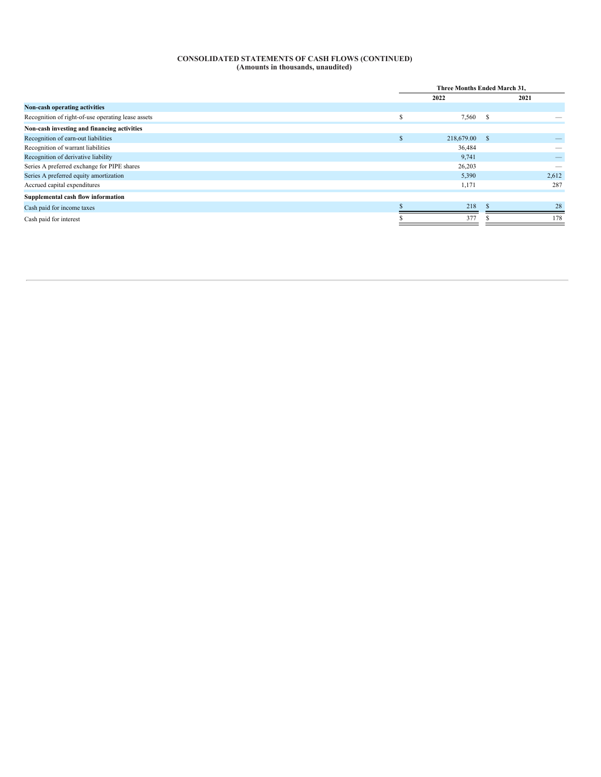#### **CONSOLIDATED STATEMENTS OF CASH FLOWS (CONTINUED) (Amounts in thousands, unaudited)**

|                                                    |        | Three Months Ended March 31, |    |       |
|----------------------------------------------------|--------|------------------------------|----|-------|
|                                                    |        | 2022                         |    | 2021  |
| Non-cash operating activities                      |        |                              |    |       |
| Recognition of right-of-use operating lease assets | ¢<br>ъ | 7,560 \$                     |    |       |
| Non-cash investing and financing activities        |        |                              |    |       |
| Recognition of earn-out liabilities                |        | 218,679.00                   | -S |       |
| Recognition of warrant liabilities                 |        | 36,484                       |    |       |
| Recognition of derivative liability                |        | 9,741                        |    |       |
| Series A preferred exchange for PIPE shares        |        | 26,203                       |    |       |
| Series A preferred equity amortization             |        | 5,390                        |    | 2,612 |
| Accrued capital expenditures                       |        | 1,171                        |    | 287   |
| Supplemental cash flow information                 |        |                              |    |       |
| Cash paid for income taxes                         |        | 218                          |    | 28    |
| Cash paid for interest                             |        | 377                          |    | 178   |
|                                                    |        |                              |    |       |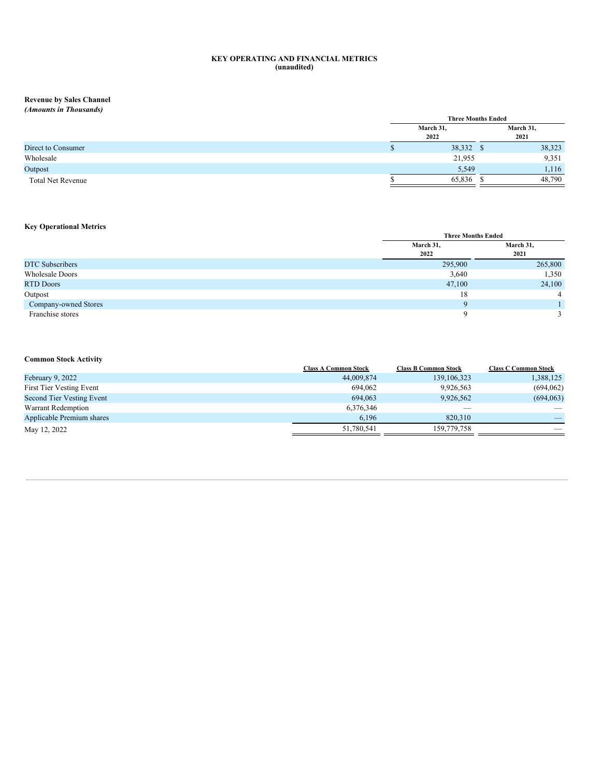#### **KEY OPERATING AND FINANCIAL METRICS (unaudited)**

## **Revenue by Sales Channel**

| (Amounts in Thousands)   |                           |           |
|--------------------------|---------------------------|-----------|
|                          | <b>Three Months Ended</b> |           |
|                          | March 31,                 | March 31, |
|                          | 2022                      | 2021      |
| Direct to Consumer       | 38,332 \$                 | 38,323    |
| Wholesale                | 21,955                    | 9,351     |
| Outpost                  | 5,549                     | 1,116     |
| <b>Total Net Revenue</b> | 65,836                    | 48,790    |
|                          |                           |           |

## **Key Operational Metrics**

|                        |           | <b>Three Months Ended</b> |  |  |
|------------------------|-----------|---------------------------|--|--|
|                        | March 31, | March 31,                 |  |  |
|                        | 2022      | 2021                      |  |  |
| <b>DTC</b> Subscribers | 295,900   | 265,800                   |  |  |
| <b>Wholesale Doors</b> | 3,640     | 1,350                     |  |  |
| <b>RTD Doors</b>       | 47,100    | 24,100                    |  |  |
| Outpost                | 18        | $\overline{4}$            |  |  |
| Company-owned Stores   | $\Omega$  |                           |  |  |
| Franchise stores       |           |                           |  |  |

### **Common Stock Activity**

|                           | <b>Class A Common Stock</b> | <b>Class B Common Stock</b> | <b>Class C Common Stock</b> |
|---------------------------|-----------------------------|-----------------------------|-----------------------------|
| February 9, 2022          | 44,009,874                  | 139, 106, 323               | 1,388,125                   |
| First Tier Vesting Event  | 694.062                     | 9,926,563                   | (694, 062)                  |
| Second Tier Vesting Event | 694.063                     | 9,926,562                   | (694,063)                   |
| Warrant Redemption        | 6,376,346                   |                             |                             |
| Applicable Premium shares | 6.196                       | 820,310                     | $\overline{\phantom{a}}$    |
| May 12, 2022              | 51,780,541                  | 159,779,758                 |                             |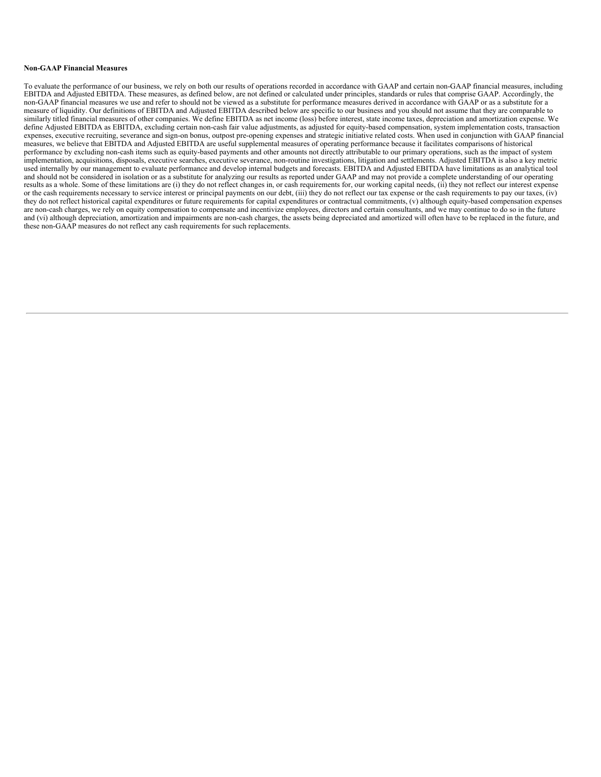#### **Non-GAAP Financial Measures**

To evaluate the performance of our business, we rely on both our results of operations recorded in accordance with GAAP and certain non-GAAP financial measures, including EBITDA and Adjusted EBITDA. These measures, as defined below, are not defined or calculated under principles, standards or rules that comprise GAAP. Accordingly, the non-GAAP financial measures we use and refer to should not be viewed as a substitute for performance measures derived in accordance with GAAP or as a substitute for a measure of liquidity. Our definitions of EBITDA and Adjusted EBITDA described below are specific to our business and you should not assume that they are comparable to similarly titled financial measures of other companies. We define EBITDA as net income (loss) before interest, state income taxes, depreciation and amortization expense. We define Adjusted EBITDA as EBITDA, excluding certain non-cash fair value adjustments, as adjusted for equity-based compensation, system implementation costs, transaction expenses, executive recruiting, severance and sign-on bonus, outpost pre-opening expenses and strategic initiative related costs. When used in conjunction with GAAP financial measures, we believe that EBITDA and Adjusted EBITDA are useful supplemental measures of operating performance because it facilitates comparisons of historical performance by excluding non-cash items such as equity-based payments and other amounts not directly attributable to our primary operations, such as the impact of system implementation, acquisitions, disposals, executive searches, executive severance, non-routine investigations, litigation and settlements. Adjusted EBITDA is also a key metric used internally by our management to evaluate performance and develop internal budgets and forecasts. EBITDA and Adjusted EBITDA have limitations as an analytical tool and should not be considered in isolation or as a substitute for analyzing our results as reported under GAAP and may not provide a complete understanding of our operating results as a whole. Some of these limitations are (i) they do not reflect changes in, or cash requirements for, our working capital needs, (ii) they not reflect our interest expense or the cash requirements necessary to service interest or principal payments on our debt, (iii) they do not reflect our tax expense or the cash requirements to pay our taxes, (iv) they do not reflect historical capital expenditures or future requirements for capital expenditures or contractual commitments, (v) although equity-based compensation expenses are non-cash charges, we rely on equity compensation to compensate and incentivize employees, directors and certain consultants, and we may continue to do so in the future and (vi) although depreciation, amortization and impairments are non-cash charges, the assets being depreciated and amortized will often have to be replaced in the future, and these non-GAAP measures do not reflect any cash requirements for such replacements.